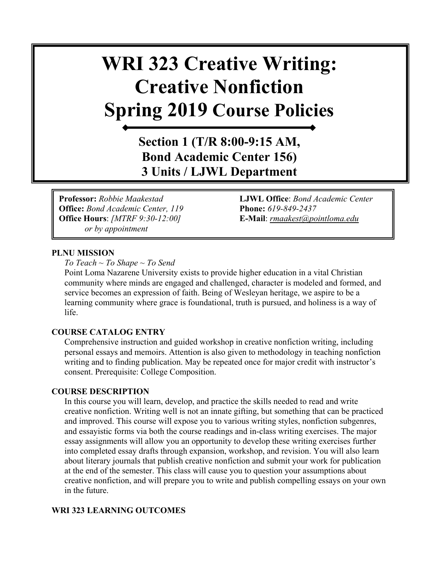# **WRI 323 Creative Writing: Creative Nonfiction Spring 2019 Course Policies**

**Section 1 (T/R 8:00-9:15 AM, Bond Academic Center 156) 3 Units / LJWL Department**

**Office:** *Bond Academic Center, 119* **Phone:** *619-849-2437* **Office Hours**: *[MTRF 9:30-12:00]* **E-Mail**: *[rmaakest@pointloma.edu](mailto:rmaakest@pointloma.edu)  or by appointment*

**Professor:** *Robbie Maakestad* **LJWL Office**: *Bond Academic Center* 

#### **PLNU MISSION**

*To Teach ~ To Shape ~ To Send* 

Point Loma Nazarene University exists to provide higher education in a vital Christian community where minds are engaged and challenged, character is modeled and formed, and service becomes an expression of faith. Being of Wesleyan heritage, we aspire to be a learning community where grace is foundational, truth is pursued, and holiness is a way of life.

#### **COURSE CATALOG ENTRY**

Comprehensive instruction and guided workshop in creative nonfiction writing, including personal essays and memoirs. Attention is also given to methodology in teaching nonfiction writing and to finding publication. May be repeated once for major credit with instructor's consent. Prerequisite: College Composition.

#### **COURSE DESCRIPTION**

In this course you will learn, develop, and practice the skills needed to read and write creative nonfiction. Writing well is not an innate gifting, but something that can be practiced and improved. This course will expose you to various writing styles, nonfiction subgenres, and essayistic forms via both the course readings and in-class writing exercises. The major essay assignments will allow you an opportunity to develop these writing exercises further into completed essay drafts through expansion, workshop, and revision. You will also learn about literary journals that publish creative nonfiction and submit your work for publication at the end of the semester. This class will cause you to question your assumptions about creative nonfiction, and will prepare you to write and publish compelling essays on your own in the future.

# **WRI 323 LEARNING OUTCOMES**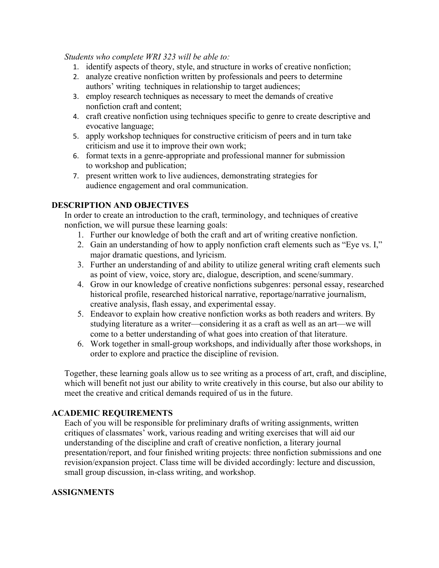*Students who complete WRI 323 will be able to:* 

- 1. identify aspects of theory, style, and structure in works of creative nonfiction;
- 2. analyze creative nonfiction written by professionals and peers to determine authors' writing techniques in relationship to target audiences;
- 3. employ research techniques as necessary to meet the demands of creative nonfiction craft and content;
- 4. craft creative nonfiction using techniques specific to genre to create descriptive and evocative language;
- 5. apply workshop techniques for constructive criticism of peers and in turn take criticism and use it to improve their own work;
- 6. format texts in a genre-appropriate and professional manner for submission to workshop and publication;
- 7. present written work to live audiences, demonstrating strategies for audience engagement and oral communication.

# **DESCRIPTION AND OBJECTIVES**

In order to create an introduction to the craft, terminology, and techniques of creative nonfiction, we will pursue these learning goals:

- 1. Further our knowledge of both the craft and art of writing creative nonfiction.
- 2. Gain an understanding of how to apply nonfiction craft elements such as "Eye vs. I," major dramatic questions, and lyricism.
- 3. Further an understanding of and ability to utilize general writing craft elements such as point of view, voice, story arc, dialogue, description, and scene/summary.
- 4. Grow in our knowledge of creative nonfictions subgenres: personal essay, researched historical profile, researched historical narrative, reportage/narrative journalism, creative analysis, flash essay, and experimental essay.
- 5. Endeavor to explain how creative nonfiction works as both readers and writers. By studying literature as a writer—considering it as a craft as well as an art—we will come to a better understanding of what goes into creation of that literature.
- 6. Work together in small-group workshops, and individually after those workshops, in order to explore and practice the discipline of revision.

Together, these learning goals allow us to see writing as a process of art, craft, and discipline, which will benefit not just our ability to write creatively in this course, but also our ability to meet the creative and critical demands required of us in the future.

# **ACADEMIC REQUIREMENTS**

Each of you will be responsible for preliminary drafts of writing assignments, written critiques of classmates' work, various reading and writing exercises that will aid our understanding of the discipline and craft of creative nonfiction, a literary journal presentation/report, and four finished writing projects: three nonfiction submissions and one revision/expansion project. Class time will be divided accordingly: lecture and discussion, small group discussion, in-class writing, and workshop.

# **ASSIGNMENTS**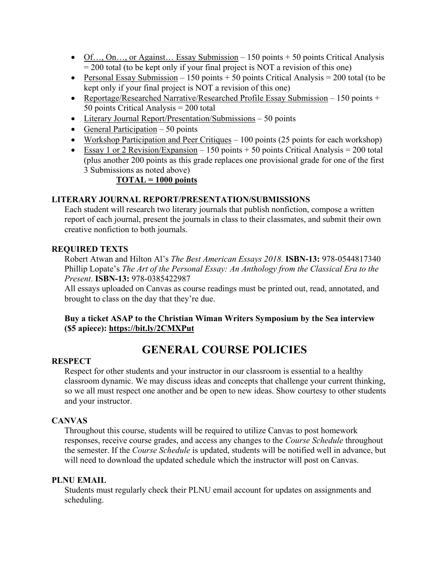- Of..., On..., or Against... Essay Submission 150 points + 50 points Critical Analysis  $= 200$  total (to be kept only if your final project is NOT a revision of this one)
- Personal Essay Submission 150 points + 50 points Critical Analysis = 200 total (to be kept only if your final project is NOT a revision of this one)
- Reportage/Researched Narrative/Researched Profile Essay Submission 150 points + 50 points Critical Analysis = 200 total
- Literary Journal Report/Presentation/Submissions 50 points
- General Participation 50 points
- Workshop Participation and Peer Critiques  $-100$  points (25 points for each workshop)
- Essay 1 or 2 Revision/Expansion 150 points  $+ 50$  points Critical Analysis = 200 total (plus another 200 points as this grade replaces one provisional grade for one of the first 3 Submissions as noted above)

# **TOTAL = 1000 points**

# **LITERARY JOURNAL REPORT/PRESENTATION/SUBMISSIONS**

Each student will research two literary journals that publish nonfiction, compose a written report of each journal, present the journals in class to their classmates, and submit their own creative nonfiction to both journals.

# **REQUIRED TEXTS**

Robert Atwan and Hilton Al's *The Best American Essays 2018.* **ISBN-13:** 978-0544817340 Phillip Lopate's *The Art of the Personal Essay: An Anthology from the Classical Era to the Present*. **ISBN-13:** 978-0385422987

All essays uploaded on Canvas as course readings must be printed out, read, annotated, and brought to class on the day that they're due.

# **Buy a ticket ASAP to the Christian Wiman Writers Symposium by the Sea interview (\$5 apiece): https://bit.ly/2CMXPut**

# **GENERAL COURSE POLICIES**

# **RESPECT**

Respect for other students and your instructor in our classroom is essential to a healthy classroom dynamic. We may discuss ideas and concepts that challenge your current thinking, so we all must respect one another and be open to new ideas. Show courtesy to other students and your instructor.

# **CANVAS**

Throughout this course, students will be required to utilize Canvas to post homework responses, receive course grades, and access any changes to the *Course Schedule* throughout the semester. If the *Course Schedule* is updated, students will be notified well in advance, but will need to download the updated schedule which the instructor will post on Canvas.

#### **PLNU EMAIL**

Students must regularly check their PLNU email account for updates on assignments and scheduling.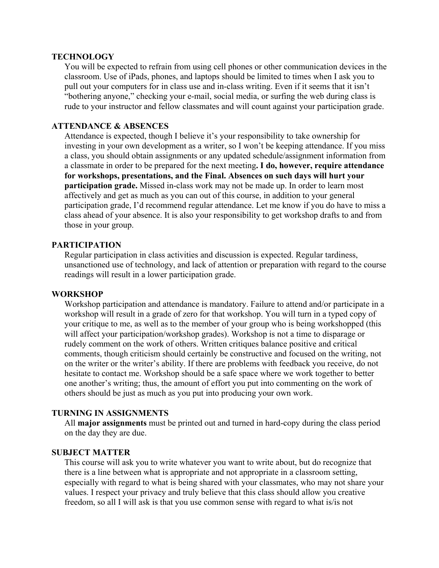#### **TECHNOLOGY**

You will be expected to refrain from using cell phones or other communication devices in the classroom. Use of iPads, phones, and laptops should be limited to times when I ask you to pull out your computers for in class use and in-class writing. Even if it seems that it isn't "bothering anyone," checking your e-mail, social media, or surfing the web during class is rude to your instructor and fellow classmates and will count against your participation grade.

# **ATTENDANCE & ABSENCES**

Attendance is expected, though I believe it's your responsibility to take ownership for investing in your own development as a writer, so I won't be keeping attendance. If you miss a class, you should obtain assignments or any updated schedule/assignment information from a classmate in order to be prepared for the next meeting**. I do, however, require attendance for workshops, presentations, and the Final. Absences on such days will hurt your participation grade.** Missed in-class work may not be made up. In order to learn most affectively and get as much as you can out of this course, in addition to your general participation grade, I'd recommend regular attendance. Let me know if you do have to miss a class ahead of your absence. It is also your responsibility to get workshop drafts to and from those in your group.

#### **PARTICIPATION**

Regular participation in class activities and discussion is expected. Regular tardiness, unsanctioned use of technology, and lack of attention or preparation with regard to the course readings will result in a lower participation grade.

#### **WORKSHOP**

Workshop participation and attendance is mandatory. Failure to attend and/or participate in a workshop will result in a grade of zero for that workshop. You will turn in a typed copy of your critique to me, as well as to the member of your group who is being workshopped (this will affect your participation/workshop grades). Workshop is not a time to disparage or rudely comment on the work of others. Written critiques balance positive and critical comments, though criticism should certainly be constructive and focused on the writing, not on the writer or the writer's ability. If there are problems with feedback you receive, do not hesitate to contact me. Workshop should be a safe space where we work together to better one another's writing; thus, the amount of effort you put into commenting on the work of others should be just as much as you put into producing your own work.

#### **TURNING IN ASSIGNMENTS**

All **major assignments** must be printed out and turned in hard-copy during the class period on the day they are due.

#### **SUBJECT MATTER**

This course will ask you to write whatever you want to write about, but do recognize that there is a line between what is appropriate and not appropriate in a classroom setting, especially with regard to what is being shared with your classmates, who may not share your values. I respect your privacy and truly believe that this class should allow you creative freedom, so all I will ask is that you use common sense with regard to what is/is not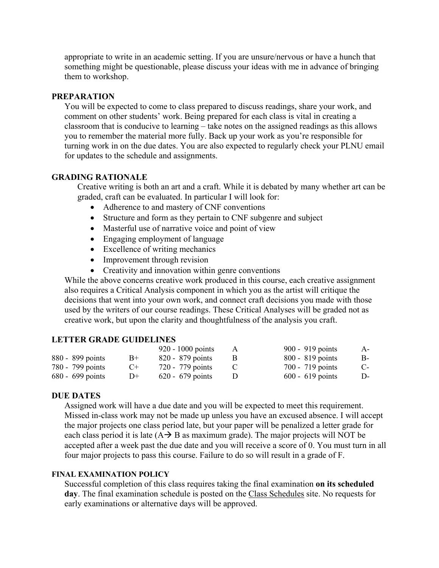appropriate to write in an academic setting. If you are unsure/nervous or have a hunch that something might be questionable, please discuss your ideas with me in advance of bringing them to workshop.

## **PREPARATION**

You will be expected to come to class prepared to discuss readings, share your work, and comment on other students' work. Being prepared for each class is vital in creating a classroom that is conducive to learning – take notes on the assigned readings as this allows you to remember the material more fully. Back up your work as you're responsible for turning work in on the due dates. You are also expected to regularly check your PLNU email for updates to the schedule and assignments.

# **GRADING RATIONALE**

Creative writing is both an art and a craft. While it is debated by many whether art can be graded, craft can be evaluated. In particular I will look for:

- Adherence to and mastery of CNF conventions
- Structure and form as they pertain to CNF subgenre and subject
- Masterful use of narrative voice and point of view
- Engaging employment of language
- Excellence of writing mechanics
- Improvement through revision
- Creativity and innovation within genre conventions

While the above concerns creative work produced in this course, each creative assignment also requires a Critical Analysis component in which you as the artist will critique the decisions that went into your own work, and connect craft decisions you made with those used by the writers of our course readings. These Critical Analyses will be graded not as creative work, but upon the clarity and thoughtfulness of the analysis you craft.

# **LETTER GRADE GUIDELINES**

|                    |           | $920 - 1000$ points | 900 - 919 points   | $A-$ |
|--------------------|-----------|---------------------|--------------------|------|
| 880 - 899 points   | $B+$      | $820 - 879$ points  | $800 - 819$ points | B-   |
| 780 - 799 points   | $C_{\pm}$ | 720 - 779 points    | 700 - 719 points   | $C-$ |
| $680 - 699$ points | $D+$      | $620 - 679$ points  | $600 - 619$ points | D-   |

#### **DUE DATES**

Assigned work will have a due date and you will be expected to meet this requirement. Missed in-class work may not be made up unless you have an excused absence. I will accept the major projects one class period late, but your paper will be penalized a letter grade for each class period it is late  $(A \rightarrow B$  as maximum grade). The major projects will NOT be accepted after a week past the due date and you will receive a score of 0. You must turn in all four major projects to pass this course. Failure to do so will result in a grade of F.

#### **FINAL EXAMINATION POLICY**

Successful completion of this class requires taking the final examination **on its scheduled day**. The final examination schedule is posted on the [Class Schedules](http://www.pointloma.edu/experience/academics/class-schedules) site. No requests for early examinations or alternative days will be approved.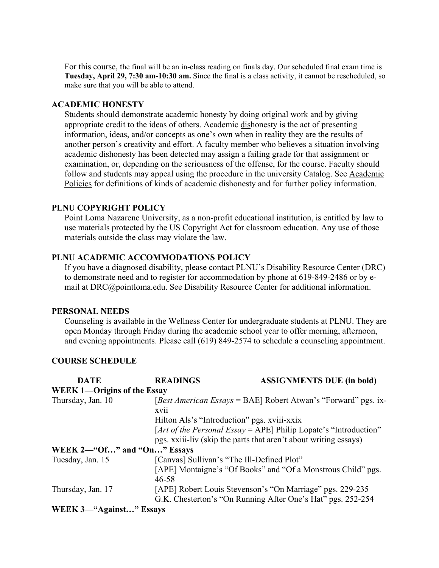For this course, the final will be an in-class reading on finals day. Our scheduled final exam time is **Tuesday, April 29, 7:30 am-10:30 am.** Since the final is a class activity, it cannot be rescheduled, so make sure that you will be able to attend.

#### **ACADEMIC HONESTY**

Students should demonstrate academic honesty by doing original work and by giving appropriate credit to the ideas of others. Academic dishonesty is the act of presenting information, ideas, and/or concepts as one's own when in reality they are the results of another person's creativity and effort. A faculty member who believes a situation involving academic dishonesty has been detected may assign a failing grade for that assignment or examination, or, depending on the seriousness of the offense, for the course. Faculty should follow and students may appeal using the procedure in the university Catalog. See [Academic](http://catalog.pointloma.edu/content.php?catoid=18&navoid=1278)  [Policies](http://catalog.pointloma.edu/content.php?catoid=18&navoid=1278) for definitions of kinds of academic dishonesty and for further policy information.

#### **PLNU COPYRIGHT POLICY**

Point Loma Nazarene University, as a non-profit educational institution, is entitled by law to use materials protected by the US Copyright Act for classroom education. Any use of those materials outside the class may violate the law.

#### **PLNU ACADEMIC ACCOMMODATIONS POLICY**

If you have a diagnosed disability, please contact PLNU's Disability Resource Center (DRC) to demonstrate need and to register for accommodation by phone at 619-849-2486 or by email at [DRC@pointloma.edu.](mailto:DRC@pointloma.edu) See [Disability Resource Center](http://www.pointloma.edu/experience/offices/administrative-offices/academic-advising-office/disability-resource-center) for additional information.

#### **PERSONAL NEEDS**

Counseling is available in the Wellness Center for undergraduate students at PLNU. They are open Monday through Friday during the academic school year to offer morning, afternoon, and evening appointments. Please call (619) 849-2574 to schedule a counseling appointment.

#### **COURSE SCHEDULE**

| <b>DATE</b>                        | <b>READINGS</b>                             | <b>ASSIGNMENTS DUE (in bold)</b>                                                                                         |
|------------------------------------|---------------------------------------------|--------------------------------------------------------------------------------------------------------------------------|
| <b>WEEK 1—Origins of the Essay</b> |                                             |                                                                                                                          |
| Thursday, Jan. 10                  | <b>XV11</b>                                 | [Best American Essays = BAE] Robert Atwan's "Forward" pgs. ix-                                                           |
|                                    | Hilton Als's "Introduction" pgs. xviii-xxix |                                                                                                                          |
|                                    |                                             | [Art of the Personal Essay = APE] Philip Lopate's "Introduction"                                                         |
|                                    |                                             | pgs. xxiii-liv (skip the parts that aren't about writing essays)                                                         |
| WEEK 2—"Of" and "On" Essays        |                                             |                                                                                                                          |
| Tuesday, Jan. 15                   | [Canvas] Sullivan's "The Ill-Defined Plot"  |                                                                                                                          |
|                                    | $46 - 58$                                   | [APE] Montaigne's "Of Books" and "Of a Monstrous Child" pgs.                                                             |
| Thursday, Jan. 17                  |                                             | [APE] Robert Louis Stevenson's "On Marriage" pgs. 229-235<br>G.K. Chesterton's "On Running After One's Hat" pgs. 252-254 |
|                                    |                                             |                                                                                                                          |

# **WEEK 3—"Against…" Essays**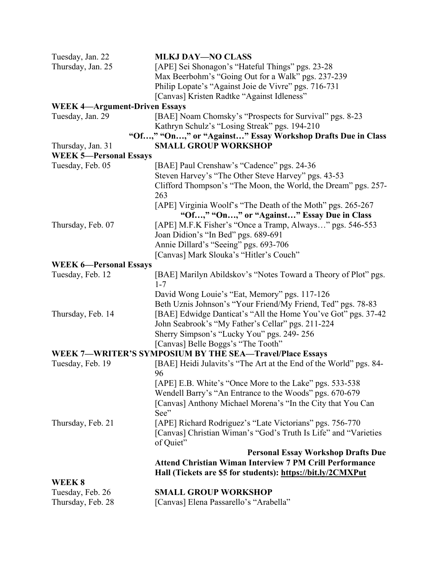| Tuesday, Jan. 22                     | <b>MLKJ DAY-NO CLASS</b>                                          |
|--------------------------------------|-------------------------------------------------------------------|
| Thursday, Jan. 25                    | [APE] Sei Shonagon's "Hateful Things" pgs. 23-28                  |
|                                      | Max Beerbohm's "Going Out for a Walk" pgs. 237-239                |
|                                      | Philip Lopate's "Against Joie de Vivre" pgs. 716-731              |
|                                      | [Canvas] Kristen Radtke "Against Idleness"                        |
| <b>WEEK 4-Argument-Driven Essays</b> |                                                                   |
| Tuesday, Jan. 29                     | [BAE] Noam Chomsky's "Prospects for Survival" pgs. 8-23           |
|                                      | Kathryn Schulz's "Losing Streak" pgs. 194-210                     |
|                                      | "Of," "On," or "Against" Essay Workshop Drafts Due in Class       |
| Thursday, Jan. 31                    | <b>SMALL GROUP WORKSHOP</b>                                       |
| <b>WEEK 5-Personal Essays</b>        |                                                                   |
| Tuesday, Feb. 05                     | [BAE] Paul Crenshaw's "Cadence" pgs. 24-36                        |
|                                      | Steven Harvey's "The Other Steve Harvey" pgs. 43-53               |
|                                      | Clifford Thompson's "The Moon, the World, the Dream" pgs. 257-    |
|                                      | 263                                                               |
|                                      | [APE] Virginia Woolf's "The Death of the Moth" pgs. 265-267       |
|                                      | "Of," "On," or "Against" Essay Due in Class                       |
| Thursday, Feb. 07                    | [APE] M.F.K Fisher's "Once a Tramp, Always" pgs. 546-553          |
|                                      | Joan Didion's "In Bed" pgs. 689-691                               |
|                                      | Annie Dillard's "Seeing" pgs. 693-706                             |
|                                      | [Canvas] Mark Slouka's "Hitler's Couch"                           |
| <b>WEEK 6-Personal Essays</b>        |                                                                   |
| Tuesday, Feb. 12                     | [BAE] Marilyn Abildskov's "Notes Toward a Theory of Plot" pgs.    |
|                                      | $1 - 7$                                                           |
|                                      | David Wong Louie's "Eat, Memory" pgs. 117-126                     |
|                                      | Beth Uznis Johnson's "Your Friend/My Friend, Ted" pgs. 78-83      |
| Thursday, Feb. 14                    | [BAE] Edwidge Danticat's "All the Home You've Got" pgs. 37-42     |
|                                      | John Seabrook's "My Father's Cellar" pgs. 211-224                 |
|                                      | Sherry Simpson's "Lucky You" pgs. 249-256                         |
|                                      | [Canvas] Belle Boggs's "The Tooth"                                |
|                                      | WEEK 7-WRITER'S SYMPOSIUM BY THE SEA-Travel/Place Essays          |
| Tuesday, Feb. 19                     | [BAE] Heidi Julavits's "The Art at the End of the World" pgs. 84- |
|                                      | 96                                                                |
|                                      | [APE] E.B. White's "Once More to the Lake" pgs. 533-538           |
|                                      | Wendell Barry's "An Entrance to the Woods" pgs. 670-679           |
|                                      | [Canvas] Anthony Michael Morena's "In the City that You Can       |
|                                      | See"                                                              |
| Thursday, Feb. 21                    | [APE] Richard Rodriguez's "Late Victorians" pgs. 756-770          |
|                                      | [Canvas] Christian Wiman's "God's Truth Is Life" and "Varieties   |
|                                      | of Quiet"                                                         |
|                                      | <b>Personal Essay Workshop Drafts Due</b>                         |
|                                      | <b>Attend Christian Wiman Interview 7 PM Crill Performance</b>    |
|                                      | Hall (Tickets are \$5 for students): https://bit.ly/2CMXPut       |
| WEEK 8                               |                                                                   |
| Tuesday, Feb. 26                     | <b>SMALL GROUP WORKSHOP</b>                                       |
| Thursday, Feb. 28                    | [Canvas] Elena Passarello's "Arabella"                            |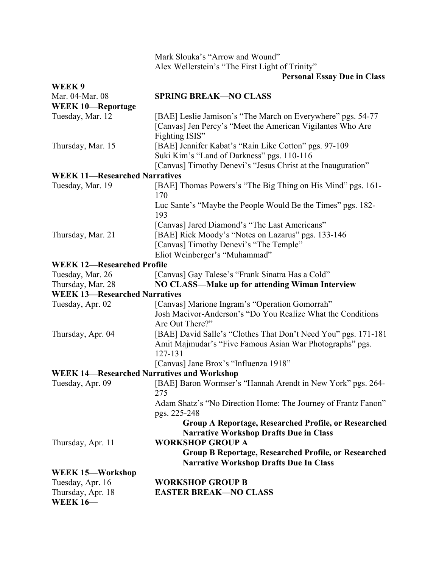|                                                   | Mark Slouka's "Arrow and Wound"                                                                                           |
|---------------------------------------------------|---------------------------------------------------------------------------------------------------------------------------|
|                                                   | Alex Wellerstein's "The First Light of Trinity"                                                                           |
|                                                   | <b>Personal Essay Due in Class</b>                                                                                        |
| WEEK 9                                            |                                                                                                                           |
| Mar. 04-Mar. 08                                   | <b>SPRING BREAK-NO CLASS</b>                                                                                              |
| <b>WEEK 10-Reportage</b>                          |                                                                                                                           |
| Tuesday, Mar. 12                                  | [BAE] Leslie Jamison's "The March on Everywhere" pgs. 54-77<br>[Canvas] Jen Percy's "Meet the American Vigilantes Who Are |
|                                                   | Fighting ISIS"                                                                                                            |
| Thursday, Mar. 15                                 | [BAE] Jennifer Kabat's "Rain Like Cotton" pgs. 97-109<br>Suki Kim's "Land of Darkness" pgs. 110-116                       |
|                                                   | [Canvas] Timothy Denevi's "Jesus Christ at the Inauguration"                                                              |
| <b>WEEK 11-Researched Narratives</b>              |                                                                                                                           |
| Tuesday, Mar. 19                                  | [BAE] Thomas Powers's "The Big Thing on His Mind" pgs. 161-<br>170                                                        |
|                                                   | Luc Sante's "Maybe the People Would Be the Times" pgs. 182-<br>193                                                        |
|                                                   | [Canvas] Jared Diamond's "The Last Americans"                                                                             |
| Thursday, Mar. 21                                 | [BAE] Rick Moody's "Notes on Lazarus" pgs. 133-146                                                                        |
|                                                   | [Canvas] Timothy Denevi's "The Temple"                                                                                    |
|                                                   | Eliot Weinberger's "Muhammad"                                                                                             |
| <b>WEEK 12-Researched Profile</b>                 |                                                                                                                           |
| Tuesday, Mar. 26                                  | [Canvas] Gay Talese's "Frank Sinatra Has a Cold"                                                                          |
| Thursday, Mar. 28                                 | NO CLASS—Make up for attending Wiman Interview                                                                            |
| <b>WEEK 13-Researched Narratives</b>              |                                                                                                                           |
| Tuesday, Apr. 02                                  | [Canvas] Marione Ingram's "Operation Gomorrah"                                                                            |
|                                                   | Josh Macivor-Anderson's "Do You Realize What the Conditions                                                               |
|                                                   | Are Out There?"                                                                                                           |
| Thursday, Apr. 04                                 | [BAE] David Salle's "Clothes That Don't Need You" pgs. 171-181                                                            |
|                                                   | Amit Majmudar's "Five Famous Asian War Photographs" pgs.<br>127-131                                                       |
|                                                   | [Canvas] Jane Brox's "Influenza 1918"                                                                                     |
| <b>WEEK 14-Researched Narratives and Workshop</b> |                                                                                                                           |
| Tuesday, Apr. 09                                  | [BAE] Baron Wormser's "Hannah Arendt in New York" pgs. 264-<br>275                                                        |
|                                                   | Adam Shatz's "No Direction Home: The Journey of Frantz Fanon"<br>pgs. 225-248                                             |
|                                                   | Group A Reportage, Researched Profile, or Researched<br><b>Narrative Workshop Drafts Due in Class</b>                     |
| Thursday, Apr. 11                                 | <b>WORKSHOP GROUP A</b>                                                                                                   |
|                                                   | Group B Reportage, Researched Profile, or Researched<br><b>Narrative Workshop Drafts Due In Class</b>                     |
| WEEK 15-Workshop                                  |                                                                                                                           |
| Tuesday, Apr. 16                                  | <b>WORKSHOP GROUP B</b>                                                                                                   |
| Thursday, Apr. 18                                 | <b>EASTER BREAK-NO CLASS</b>                                                                                              |
| <b>WEEK 16-</b>                                   |                                                                                                                           |